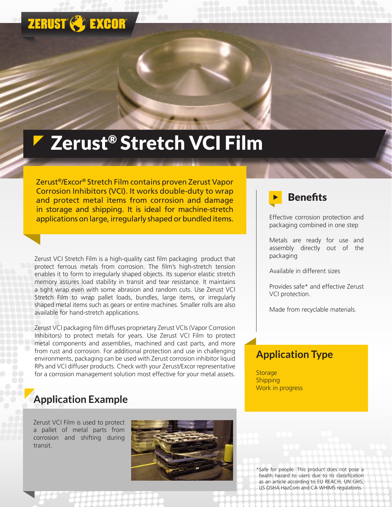## **ZERUST & EXCOR**

# Zerust<sup>®</sup> Stretch VCI Film

Zerust®/Excor® Stretch Film contains proven Zerust Vapor Corrosion Inhibitors (VCI). It works double-duty to wrap and protect metal items from corrosion and damage in storage and shipping. It is ideal for machine-stretch applications on large, irregularly shaped or bundled items.

Zerust VCI Stretch Film is a high-quality cast film packaging product that protect ferrous metals from corrosion. The film's high-stretch tension enables it to form to irregularly shaped objects. Its superior elastic stretch memory assures load stability in transit and tear resistance. It maintains a tight wrap even with some abrasion and random cuts. Use Zerust VCI Stretch Film to wrap pallet loads, bundles, large items, or irregularly shaped metal items such as gears or entire machines. Smaller rolls are also available for hand-stretch applications.

Zerust VCI packaging film diffuses proprietary Zerust VCIs (Vapor Corrosion Inhibitors) to protect metals for years. Use Zerust VCI Film to protect metal components and assemblies, machined and cast parts, and more from rust and corrosion. For additional protection and use in challenging environments, packaging can be used with Zerust corrosion inhibitor liquid RPs and VCI diffuser products. Check with your Zerust/Excor representative for a corrosion management solution most effective for your metal assets.

#### **Application Example**

Zerust VCI Film is used to protect a pallet of metal parts from corrosion and shifting during transit.





Effective corrosion protection and packaging combined in one step

Metals are ready for use and assembly directly out of the packaging

Available in different sizes

Provides safe\* and effective Zerust VCI protection.

Made from recyclable materials.

#### **Application Type**

**Storage** Shipping Work in progress

\*Safe for people. This product does not pose a health hazard to users due to its classification as an article according to EU REACH, UN GHS, US OSHA HazCom and CA WHIMS regulations.